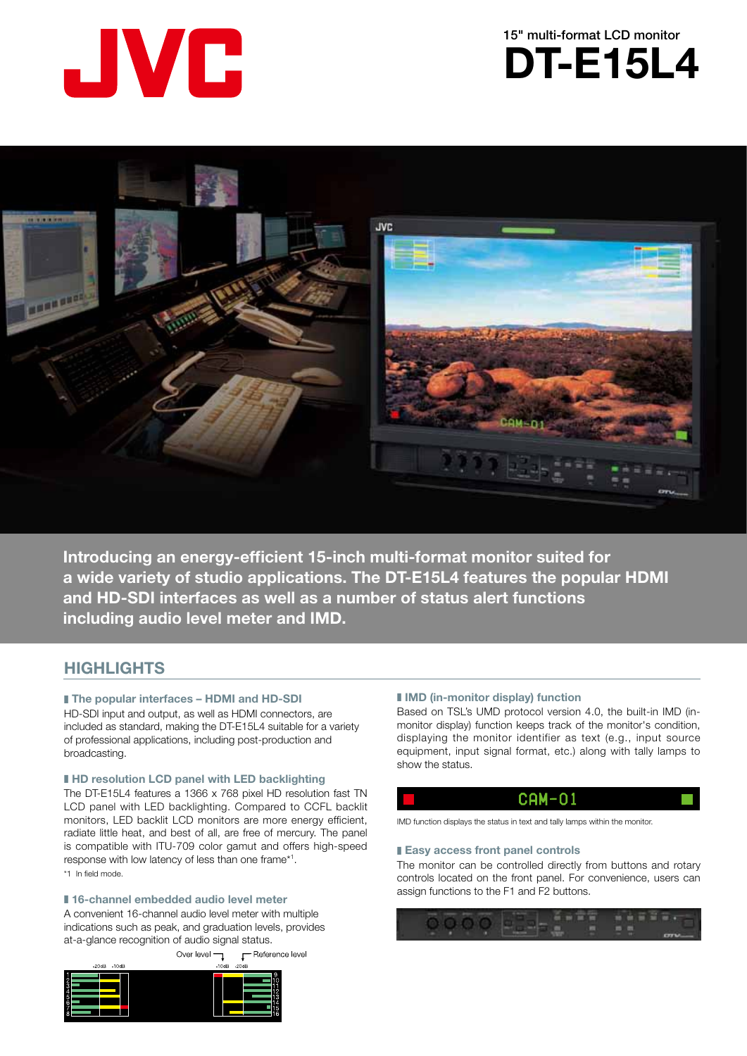





**Introducing an energy-efficient 15-inch multi-format monitor suited for** a wide variety of studio applications. The DT-E15L4 features the popular HDMI and HD-SDI interfaces as well as a number of status alert functions including audio level meter and IMD.

# **HIGHLIGHTS**

# **I** The popular interfaces – HDMI and HD-SDI

HD-SDI input and output, as well as HDMI connectors, are included as standard, making the DT-E15L4 suitable for a variety of professional applications, including post-production and .broadcasting

# $\blacksquare$  **HD** resolution LCD panel with LED backlighting

The DT-E15L4 features a 1366 x 768 pixel HD resolution fast TN LCD panel with LED backlighting. Compared to CCFL backlit monitors, LED backlit LCD monitors are more energy efficient, radiate little heat, and best of all, are free of mercury. The panel is compatible with ITU-709 color gamut and offers high-speed response with low latency of less than one frame\*<sup>1</sup>. \*1 In field mode.

# ■ 16-channel embedded audio level meter

A convenient 16-channel audio level meter with multiple indications such as peak, and graduation levels, provides at-a-glance recognition of audio signal status. **F** Reference level Over level  $\neg$ 



#### $\blacksquare$  **IMD** (in-monitor display) function

monitor display) function keeps track of the monitor's condition, Based on TSL's UMD protocol version 4.0, the built-in IMD (indisplaying the monitor identifier as text (e.g., input source equipment, input signal format, etc.) along with tally lamps to show the status.

# $CAM-01$

IMD function displays the status in text and tally lamps within the monitor.

#### **Easy access front panel controls**

The monitor can be controlled directly from buttons and rotary controls located on the front panel. For convenience, users can assign functions to the F1 and F2 buttons.